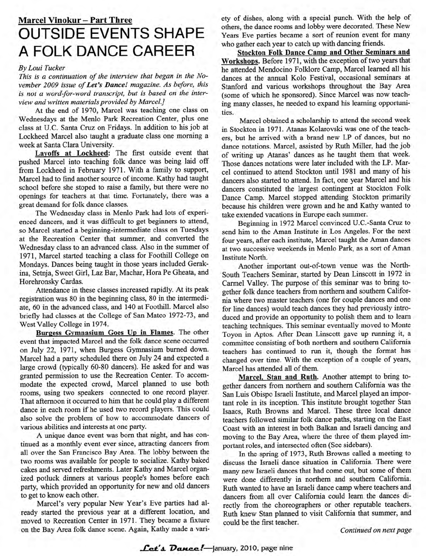## **Marcel Vinokur - Part Three OUTSIDE EVENTS SHAPE A FOLK DANCE CAREER**

## *By Loui Tucker*

*This is a continuation of the interview that began in the November 2009 issue of Let's Dance! magazine. As before, this is not a word-for-word transcript, but is based on the interview and written materials provided by Marcel.]*

At the end of 1970, Marcel was teaching one class on Wednesdays at the Menlo Park Recreation Center, plus one class at U.C. Santa Cruz on Fridays. In addition to his job at Lockheed Marcel also taught a graduate class one morning a week at Santa Clara University.

Layoffs at Lockheed: The first outside event that pushed Marcel into teaching folk dance was being laid off from Lockheed in February 1971. With a family to support, Marcel had to find another source of income. Kathy had taught school before she stoped to raise a family, but there were no openings for teachers at that time. Fortunately, there was a great demand for folk dance classes.

The Wednesday class in Menlo Park had lots of experienced dancers, and it was difficult to get beginners to attend, so Marcel started a beginning-intermediate class on Tuesdays at the Recreation Center that summer, and converted the Wednesday class to an advanced class. Also in the summer of 1971, Marcel started teaching a class for Foothill College on Mondays. Dances being taught in those years included Gerakina, Setnja, Sweet Girl, Laz Bar, Machar, Hora Pe Gheata, and Horehronsky Cardas.

Attendance in these classes increased rapidly. At its peak registration was 80 in the beginning class, 80 in the intermediate, 60 in the advanced class, and 140 at Foothill. Marcel also briefly had classes at the College of San Mateo 1972-73, and West Valley College in 1974.

Burgess Gymnasium Goes Up in Flames. The other event that impacted Marcel and the folk dance scene occurred on July 22, 1971, when Burgess Gymnasium burned down. Marcel had a party scheduled there on July 24 and expected a large crowd (typically 60-80 dancers). He asked for and was granted permission to use the Recreation Center. To accommodate the expected crowd, Marcel planned to use both rooms, using two speakers connected to one record player. That afternoon it occurred to him that he could play a different dance in each room if he used two record players. This could also solve the problem of how to accommodate dancers of various abilities and interests at one party.

A unique dance event was born that night, and has continued as a monthly event ever since, attracting dancers from all over the San Francisco Bay Area. The lobby between the two rooms was available for people to socialize. Kathy baked cakes and served refreshments. Later Kathy and Marcel organized potluck dinners at various people's homes before each party, which provided an opportunity for new and old dancers to get to know each other.

Marcel's very popular New Year's Eve parties had already started the previous year at a different location, and moved to Recreation Center in 1971. They became a fixture on the Bay Area folk dance scene. Again, Kathy made a variety of dishes, along with a special punch. With the help of others, the dance rooms and lobby were decorated. These New Years Eve parties became a sort of reunion event for many who gather each year to catch up with dancing friends.

Stockton Folk Dance Camp and Other Seminars and Workshops. Before 1971, with the exception of two years that he attended Mendocino Folklore Camp, Marcel learned all his dances at the annual Kolo Festival, occasional seminars at Stanford and various workshops throughout the Bay Area (some of which he sponsored). Since Marcel was now teaching many classes, he needed to expand his learning opportunities.

Marcel obtained a scholarship to attend the second week in Stockton in 1971. Atanas Kolarovski was one of the teachers, but he arrived with a brand new LP of dances, but no dance notations. Marcel, assisted by Ruth Miller, had the job of writing up Atanas' dances as he taught them that week. Those dances notations were later included with the LP. Marcel continued to attend Stockton until 1981 and many of his dancers also started to attend. In fact, one year Marcel and his dancers constituted the largest contingent at Stockton Folk Dance Camp. Marcel stopped attending Stockton primarily because his children were grown and he and Kathy wanted to take extended vacations in Europe each summer.

Beginning in 1972 Marcel convinced U.C.-Santa Cruz to send him to the Aman Institute in Los Angeles. For the next four years, after each institute, Marcel taught the Aman dances at two successive weekends in Menlo Park, as a sort of Aman Institute North.

Another important out-of-town venue was the North-South Teachers Seminar, started by Dean Linscott in 1972 in Carmel Valley. The purpose of this seminar was to bring together folk dance teachers from northern and southern California where two master teachers (one for couple dances and one for line dances) would teach dances they had previously introduced and provide an opportunity to polish them and to learn teaching techniques. This seminar eventually moved to Monte Toyon in Aptos. After Dean Linscott gave up running it, a committee consisting of both northern and southern California teachers has continued to run it, though the format has changed over time. With the exception of a couple of years, Marcel has attended all of them.

Marcel, Stan and Ruth. Another attempt to bring together dancers from northern and southern California was the San Luis Obispo Israeli Institute, and Marcel played an important role in its inception. This institute brought together Stan Isaacs, Ruth Browns and Marcel. These three local dance teachers followed similar folk dance paths, starting on the East Coast with an interest in both Balkan and Israeli dancing and moving to the Bay Area, where the three of them played important roles, and intersected often (See sidebars).

In the spring of 1973, Ruth Browns called a meeting to discuss the Israeli dance situation in California. There were many new Israeli dances that had come out, but some of them were done differently in northern and southern California. Ruth wanted to have an Israeli dance camp where teachers and dancers from all over California could learn the dances directly from the choreographers or other reputable teachers. Ruth knew Stan planned to visit California that summer, and could be the first teacher.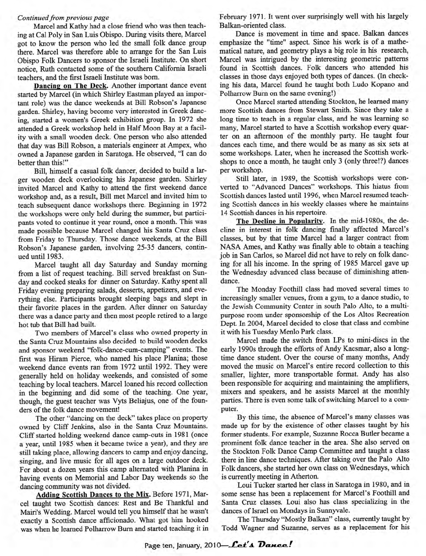## *Continued from previous page*

Marcel and Kathy had a close friend who was then teaching at Cal Poly in San Luis Obispo. During visits there, Marcel got to know the person who led the small folk dance group there. Marcel was therefore able to arrange for the San Luis Obispo Folk Dancers to sponsor the Israeli Institute. On short notice, Ruth contacted some of the southern California Israeli teachers, and the first Israeli Institute was born.

Dancing on The **Deck.** Another important dance event started by Marcel (in which Shirley Eastman played an important role) was the dance weekends at Bill Robson's Japanese garden. Shirley, having become very interested in Greek dancing, started a women's Greek exhibition group. In 1972 she attended a Greek workshop held in Half Moon Bay at a facility with a small wooden deck. One person who also attended that day was Bill Robson, a materials engineer at Ampex, who owned a Japanese garden in Saratoga. He observed, "I can do better than this!"

Bill, himself a casual folk dancer, decided to build a larger wooden deck overlooking his Japanese garden. Shirley invited Marcel and Kathy to attend the first weekend dance workshop and, as a result, Bill met Marcel and invited him to teach subsequent dance workshops there. Beginning in 1972 the workshops were only held during the summer, but participants voted to continue it year round, once a month. This was made possible because Marcel changed his Santa Cruz class from Friday to Thursday. Those dance weekends, at the Bill Robson's Japanese garden, involving 25-35 dancers, continued until 1983.

Marcel taught all day Saturday and Sunday morning from a list of request teaching. Bill served breakfast on Sunday and cooked steaks for dinner on Saturday. Kathy spent all Friday evening preparing salads, desserts, appetizers, and everything else. Participants brought sleeping bags and slept in their favorite places in the garden. After dinner on Saturday there was a dance party and then most people retired to a large hot tub that Bill had built.

Two members of Marcel's class who owned property in the Santa Cruz Mountains also decided to build wooden decks and sponsor weekend "folk-dance-cum-camping" events. The first was Hiram Pierce, who named his place Planina; those weekend dance events ran from 1972 until 1992. They were generally held on holiday weekends, and consisted of some teaching by local teachers. Marcel loaned his record collection in the beginning and did some of the teaching. One year, though, the guest teacher was Vyts Beliajus, one of the founders of the folk dance movement!

The other "dancing on the deck" takes place on property owned by Cliff Jenkins, also in the Santa Cruz Mountains. Cliff started holding weekend dance camp-outs in 1981 (once a year, until 1985 when it became twice a year), and they are still taking place, allowing dancers to camp and enjoy dancing, singing, and live music for all ages on a large outdoor deck. For about a dozen years this camp alternated with Planina in having events on Memorial and Labor Day weekends so the dancing community was not divided.

Adding Scottish Dances to the **Mix.** Before 1971, Marcel taught two Scottish dances: Rest and Be Thankful and Mairi's Wedding. Marcel would tell you himself that he wasn't exactly a Scottish dance afficionado. What got him hooked was when he learned Polharrow Burn and started teaching it in February 1971. It went over surprisingly well with his largely Balkan-oriented class.

Dance is movement in time and space. Balkan dances emphasize the "time" aspect. Since his work is of a mathematical nature, and geometry plays a big role in his research, Marcel was intrigued by the interesting geometric patterns found in Scottish dances. Folk dancers who attended his classes in those days enjoyed both types of dances. (In checking his data, Marcel found he taught both Ludo Kopano and Polharrow Burn on the same evening!)

Once Marcel started attending Stockton, he learned many more Scottish dances from Stewart Smith. Since they take a long time to teach in a regular class, and he was learning so many, Marcel started to have a Scottish workshop every quarter on an afternoon of the monthly party. He taught four dances each time, and there would be as many as six sets at some workshops. Later, when he increased the Scottish workshops to once a month, he taught only 3 (only three!?) dances per workshop.

Still later, in 1989, the Scottish workshops were converted to "Advanced Dances" workshops. This hiatus from Scottish dances lasted until 1996, when Marcel resumed teaching Scottish dances in his weekly classes where he maintains 14 Scottish dances in his repertoire.

The Decline in Popularity. In the mid-1980s, the decline in interest in folk dancing finally affected Marcel's classes, but by that time Marcel had a larger contract from NASA Ames, and Kathy was finally able to obtain a teaching job in San Carlos, so Marcel did not have to rely on folk dancing for all his income. In the spring of 1985 Marcel gave up the Wednesday advanced class because of diminishing attendance.

The Monday Foothill class had moved several times to increasingly smaller venues, from a gym, to a dance studio, to the Jewish Community Center in south Palo Alto, to a multipurpose room under sponsorship of the Los Altos Recreation Dept. In 2004, Marcel decided to close that class and combine it with his Tuesday Menlo Park class.

Marcel made the switch from LPs to mini-discs in the early 1990s through the efforts of Andy Kacsmar, also a longtime dance student. Over the course of many months, Andy moved the music on Marcel's entire record collection to this smaller, lighter, more transportable format. Andy has also been responsible for acquiring and maintaining the amplifiers, mixers and speakers, and he assists Marcel at the monthly parties. There is even some talk of switching Marcel to a computer.

By this time, the absence of Marcel's many classes was made up for by the existence of other classes taught by his former students. For example, Suzanne Rocca Butler became a prominent folk dance teacher in the area. She also served on the Stockton Folk Dance Camp Committee and taught a class there in line dance techniques. After taking over the Palo Alto Folk dancers, she started her own class on Wednesdays, which is currently meeting in Atherton.

Loui Tucker started her class in Saratoga in 1980, and in some sense has been a replacement for Marcel's Foothill and Santa Cruz classes. Loui also has class specializing in the dances of Israel on Mondays in Sunnyvale.

The Thursday "Mostly Balkan" class, currently taught by Todd Wagner and Suzanne, serves as a replacement for his